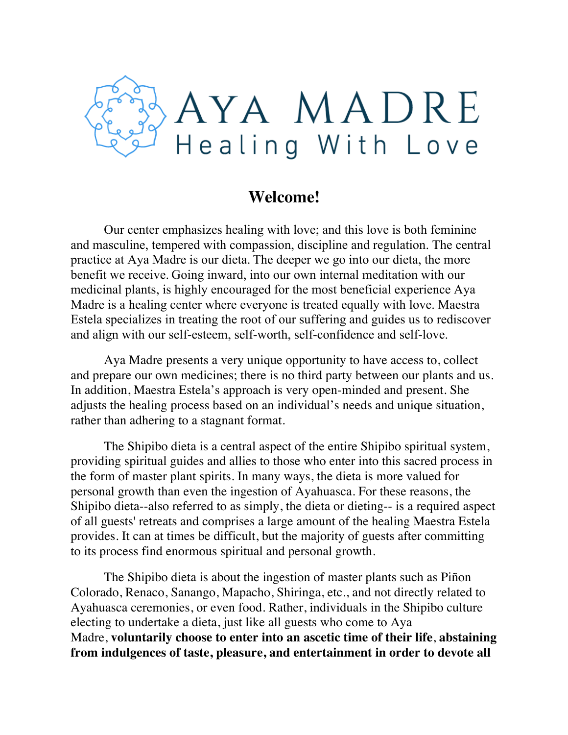

#### **Welcome!**

Our center emphasizes healing with love; and this love is both feminine and masculine, tempered with compassion, discipline and regulation. The central practice at Aya Madre is our dieta. The deeper we go into our dieta, the more benefit we receive. Going inward, into our own internal meditation with our medicinal plants, is highly encouraged for the most beneficial experience Aya Madre is a healing center where everyone is treated equally with love. Maestra Estela specializes in treating the root of our suffering and guides us to rediscover and align with our self-esteem, self-worth, self-confidence and self-love.

Aya Madre presents a very unique opportunity to have access to, collect and prepare our own medicines; there is no third party between our plants and us. In addition, Maestra Estela's approach is very open-minded and present. She adjusts the healing process based on an individual's needs and unique situation, rather than adhering to a stagnant format.

The Shipibo dieta is a central aspect of the entire Shipibo spiritual system, providing spiritual guides and allies to those who enter into this sacred process in the form of master plant spirits. In many ways, the dieta is more valued for personal growth than even the ingestion of Ayahuasca. For these reasons, the Shipibo dieta--also referred to as simply, the dieta or dieting-- is a required aspect of all guests' retreats and comprises a large amount of the healing Maestra Estela provides. It can at times be difficult, but the majority of guests after committing to its process find enormous spiritual and personal growth.

The Shipibo dieta is about the ingestion of master plants such as Piñon Colorado, Renaco, Sanango, Mapacho, Shiringa, etc., and not directly related to Ayahuasca ceremonies, or even food. Rather, individuals in the Shipibo culture electing to undertake a dieta, just like all guests who come to Aya Madre, **voluntarily choose to enter into an ascetic time of their life**, **abstaining from indulgences of taste, pleasure, and entertainment in order to devote all**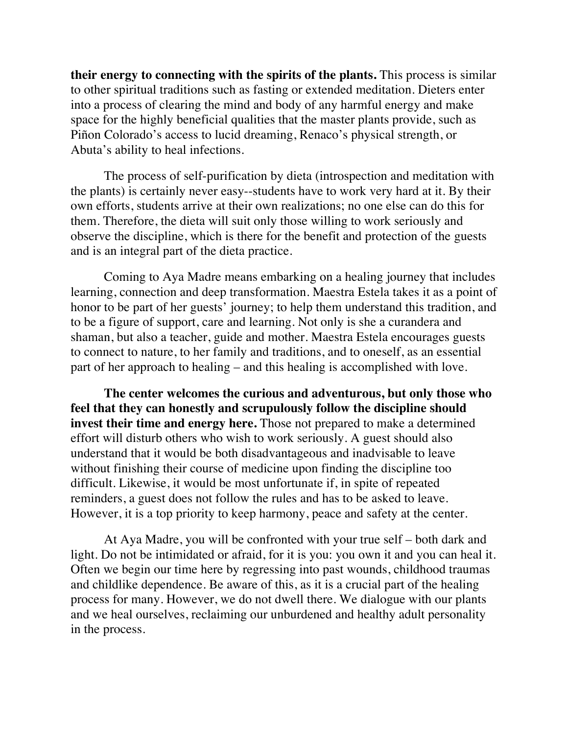**their energy to connecting with the spirits of the plants.** This process is similar to other spiritual traditions such as fasting or extended meditation. Dieters enter into a process of clearing the mind and body of any harmful energy and make space for the highly beneficial qualities that the master plants provide, such as Piñon Colorado's access to lucid dreaming, Renaco's physical strength, or Abuta's ability to heal infections.

The process of self-purification by dieta (introspection and meditation with the plants) is certainly never easy--students have to work very hard at it. By their own efforts, students arrive at their own realizations; no one else can do this for them. Therefore, the dieta will suit only those willing to work seriously and observe the discipline, which is there for the benefit and protection of the guests and is an integral part of the dieta practice.

Coming to Aya Madre means embarking on a healing journey that includes learning, connection and deep transformation. Maestra Estela takes it as a point of honor to be part of her guests' journey; to help them understand this tradition, and to be a figure of support, care and learning. Not only is she a curandera and shaman, but also a teacher, guide and mother. Maestra Estela encourages guests to connect to nature, to her family and traditions, and to oneself, as an essential part of her approach to healing – and this healing is accomplished with love.

**The center welcomes the curious and adventurous, but only those who feel that they can honestly and scrupulously follow the discipline should invest their time and energy here.** Those not prepared to make a determined effort will disturb others who wish to work seriously. A guest should also understand that it would be both disadvantageous and inadvisable to leave without finishing their course of medicine upon finding the discipline too difficult. Likewise, it would be most unfortunate if, in spite of repeated reminders, a guest does not follow the rules and has to be asked to leave. However, it is a top priority to keep harmony, peace and safety at the center.

At Aya Madre, you will be confronted with your true self – both dark and light. Do not be intimidated or afraid, for it is you: you own it and you can heal it. Often we begin our time here by regressing into past wounds, childhood traumas and childlike dependence. Be aware of this, as it is a crucial part of the healing process for many. However, we do not dwell there. We dialogue with our plants and we heal ourselves, reclaiming our unburdened and healthy adult personality in the process.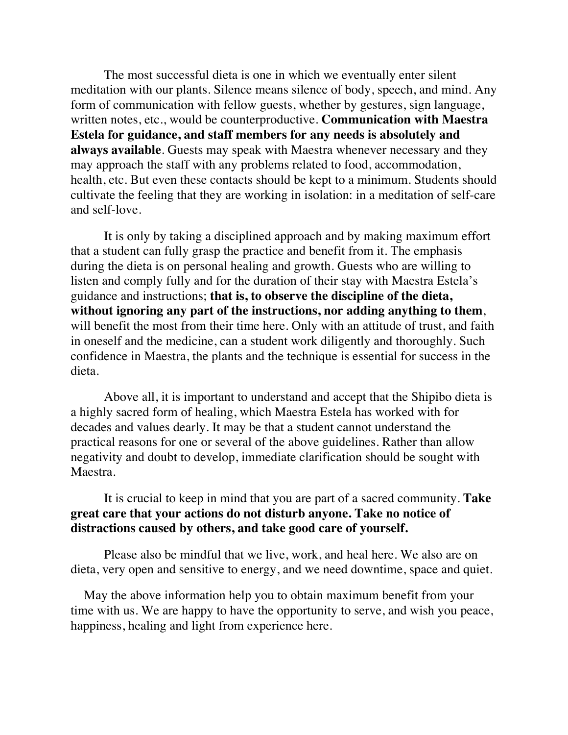The most successful dieta is one in which we eventually enter silent meditation with our plants. Silence means silence of body, speech, and mind. Any form of communication with fellow guests, whether by gestures, sign language, written notes, etc., would be counterproductive. **Communication with Maestra Estela for guidance, and staff members for any needs is absolutely and always available**. Guests may speak with Maestra whenever necessary and they may approach the staff with any problems related to food, accommodation, health, etc. But even these contacts should be kept to a minimum. Students should cultivate the feeling that they are working in isolation: in a meditation of self-care and self-love.

It is only by taking a disciplined approach and by making maximum effort that a student can fully grasp the practice and benefit from it. The emphasis during the dieta is on personal healing and growth. Guests who are willing to listen and comply fully and for the duration of their stay with Maestra Estela's guidance and instructions; **that is, to observe the discipline of the dieta, without ignoring any part of the instructions, nor adding anything to them**, will benefit the most from their time here. Only with an attitude of trust, and faith in oneself and the medicine, can a student work diligently and thoroughly. Such confidence in Maestra, the plants and the technique is essential for success in the dieta.

Above all, it is important to understand and accept that the Shipibo dieta is a highly sacred form of healing, which Maestra Estela has worked with for decades and values dearly. It may be that a student cannot understand the practical reasons for one or several of the above guidelines. Rather than allow negativity and doubt to develop, immediate clarification should be sought with Maestra.

#### It is crucial to keep in mind that you are part of a sacred community. **Take great care that your actions do not disturb anyone. Take no notice of distractions caused by others, and take good care of yourself.**

Please also be mindful that we live, work, and heal here. We also are on dieta, very open and sensitive to energy, and we need downtime, space and quiet.

May the above information help you to obtain maximum benefit from your time with us. We are happy to have the opportunity to serve, and wish you peace, happiness, healing and light from experience here.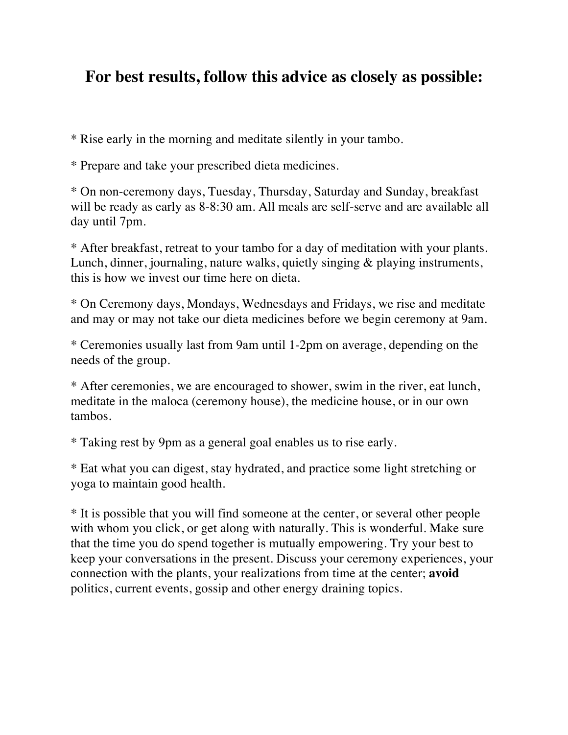# **For best results, follow this advice as closely as possible:**

\* Rise early in the morning and meditate silently in your tambo.

\* Prepare and take your prescribed dieta medicines.

\* On non-ceremony days, Tuesday, Thursday, Saturday and Sunday, breakfast will be ready as early as  $8-8:30$  am. All meals are self-serve and are available all day until 7pm.

\* After breakfast, retreat to your tambo for a day of meditation with your plants. Lunch, dinner, journaling, nature walks, quietly singing & playing instruments, this is how we invest our time here on dieta.

\* On Ceremony days, Mondays, Wednesdays and Fridays, we rise and meditate and may or may not take our dieta medicines before we begin ceremony at 9am.

\* Ceremonies usually last from 9am until 1-2pm on average, depending on the needs of the group.

\* After ceremonies, we are encouraged to shower, swim in the river, eat lunch, meditate in the maloca (ceremony house), the medicine house, or in our own tambos.

\* Taking rest by 9pm as a general goal enables us to rise early.

\* Eat what you can digest, stay hydrated, and practice some light stretching or yoga to maintain good health.

\* It is possible that you will find someone at the center, or several other people with whom you click, or get along with naturally. This is wonderful. Make sure that the time you do spend together is mutually empowering. Try your best to keep your conversations in the present. Discuss your ceremony experiences, your connection with the plants, your realizations from time at the center; **avoid** politics, current events, gossip and other energy draining topics.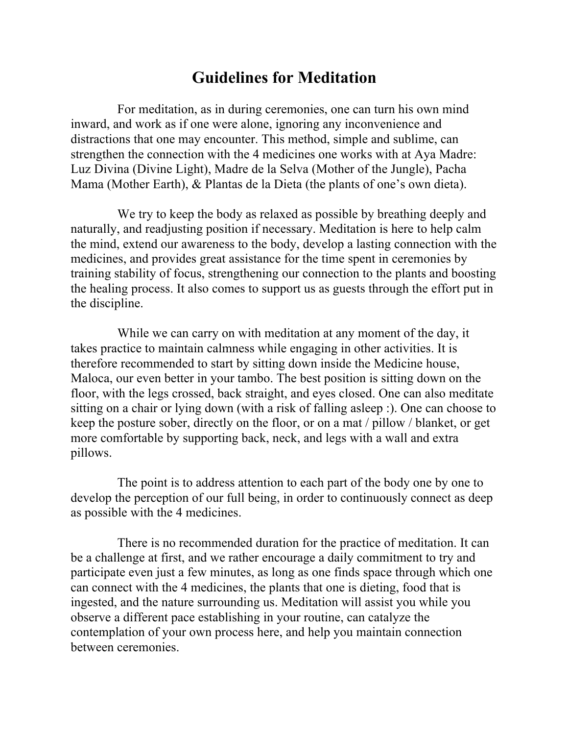## **Guidelines for Meditation**

For meditation, as in during ceremonies, one can turn his own mind inward, and work as if one were alone, ignoring any inconvenience and distractions that one may encounter. This method, simple and sublime, can strengthen the connection with the 4 medicines one works with at Aya Madre: Luz Divina (Divine Light), Madre de la Selva (Mother of the Jungle), Pacha Mama (Mother Earth), & Plantas de la Dieta (the plants of one's own dieta).

We try to keep the body as relaxed as possible by breathing deeply and naturally, and readjusting position if necessary. Meditation is here to help calm the mind, extend our awareness to the body, develop a lasting connection with the medicines, and provides great assistance for the time spent in ceremonies by training stability of focus, strengthening our connection to the plants and boosting the healing process. It also comes to support us as guests through the effort put in the discipline.

While we can carry on with meditation at any moment of the day, it takes practice to maintain calmness while engaging in other activities. It is therefore recommended to start by sitting down inside the Medicine house, Maloca, our even better in your tambo. The best position is sitting down on the floor, with the legs crossed, back straight, and eyes closed. One can also meditate sitting on a chair or lying down (with a risk of falling asleep :). One can choose to keep the posture sober, directly on the floor, or on a mat / pillow / blanket, or get more comfortable by supporting back, neck, and legs with a wall and extra pillows.

The point is to address attention to each part of the body one by one to develop the perception of our full being, in order to continuously connect as deep as possible with the 4 medicines.

There is no recommended duration for the practice of meditation. It can be a challenge at first, and we rather encourage a daily commitment to try and participate even just a few minutes, as long as one finds space through which one can connect with the 4 medicines, the plants that one is dieting, food that is ingested, and the nature surrounding us. Meditation will assist you while you observe a different pace establishing in your routine, can catalyze the contemplation of your own process here, and help you maintain connection between ceremonies.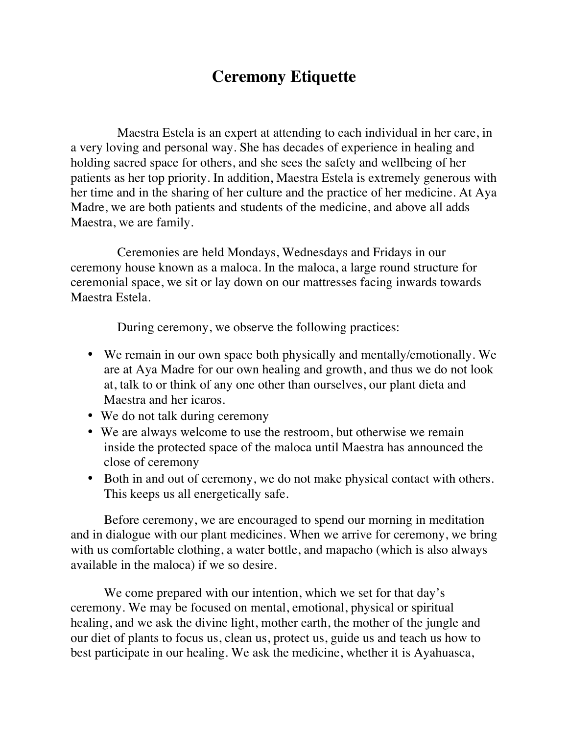# **Ceremony Etiquette**

Maestra Estela is an expert at attending to each individual in her care, in a very loving and personal way. She has decades of experience in healing and holding sacred space for others, and she sees the safety and wellbeing of her patients as her top priority. In addition, Maestra Estela is extremely generous with her time and in the sharing of her culture and the practice of her medicine. At Aya Madre, we are both patients and students of the medicine, and above all adds Maestra, we are family.

Ceremonies are held Mondays, Wednesdays and Fridays in our ceremony house known as a maloca. In the maloca, a large round structure for ceremonial space, we sit or lay down on our mattresses facing inwards towards Maestra Estela.

During ceremony, we observe the following practices:

- We remain in our own space both physically and mentally/emotionally. We are at Aya Madre for our own healing and growth, and thus we do not look at, talk to or think of any one other than ourselves, our plant dieta and Maestra and her icaros.
- We do not talk during ceremony
- We are always welcome to use the restroom, but otherwise we remain inside the protected space of the maloca until Maestra has announced the close of ceremony
- Both in and out of ceremony, we do not make physical contact with others. This keeps us all energetically safe.

Before ceremony, we are encouraged to spend our morning in meditation and in dialogue with our plant medicines. When we arrive for ceremony, we bring with us comfortable clothing, a water bottle, and mapacho (which is also always available in the maloca) if we so desire.

We come prepared with our intention, which we set for that day's ceremony. We may be focused on mental, emotional, physical or spiritual healing, and we ask the divine light, mother earth, the mother of the jungle and our diet of plants to focus us, clean us, protect us, guide us and teach us how to best participate in our healing. We ask the medicine, whether it is Ayahuasca,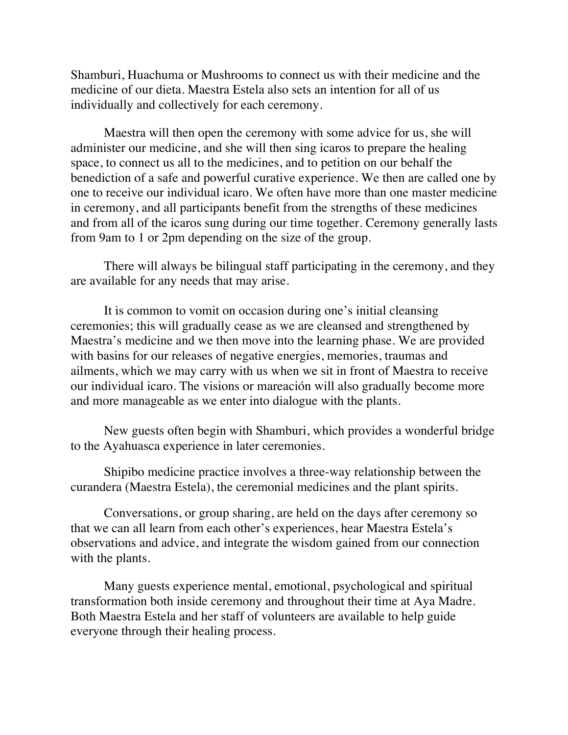Shamburi, Huachuma or Mushrooms to connect us with their medicine and the medicine of our dieta. Maestra Estela also sets an intention for all of us individually and collectively for each ceremony.

Maestra will then open the ceremony with some advice for us, she will administer our medicine, and she will then sing icaros to prepare the healing space, to connect us all to the medicines, and to petition on our behalf the benediction of a safe and powerful curative experience. We then are called one by one to receive our individual icaro. We often have more than one master medicine in ceremony, and all participants benefit from the strengths of these medicines and from all of the icaros sung during our time together. Ceremony generally lasts from 9am to 1 or 2pm depending on the size of the group.

There will always be bilingual staff participating in the ceremony, and they are available for any needs that may arise.

It is common to vomit on occasion during one's initial cleansing ceremonies; this will gradually cease as we are cleansed and strengthened by Maestra's medicine and we then move into the learning phase. We are provided with basins for our releases of negative energies, memories, traumas and ailments, which we may carry with us when we sit in front of Maestra to receive our individual icaro. The visions or mareación will also gradually become more and more manageable as we enter into dialogue with the plants.

New guests often begin with Shamburi, which provides a wonderful bridge to the Ayahuasca experience in later ceremonies.

Shipibo medicine practice involves a three-way relationship between the curandera (Maestra Estela), the ceremonial medicines and the plant spirits.

Conversations, or group sharing, are held on the days after ceremony so that we can all learn from each other's experiences, hear Maestra Estela's observations and advice, and integrate the wisdom gained from our connection with the plants.

Many guests experience mental, emotional, psychological and spiritual transformation both inside ceremony and throughout their time at Aya Madre. Both Maestra Estela and her staff of volunteers are available to help guide everyone through their healing process.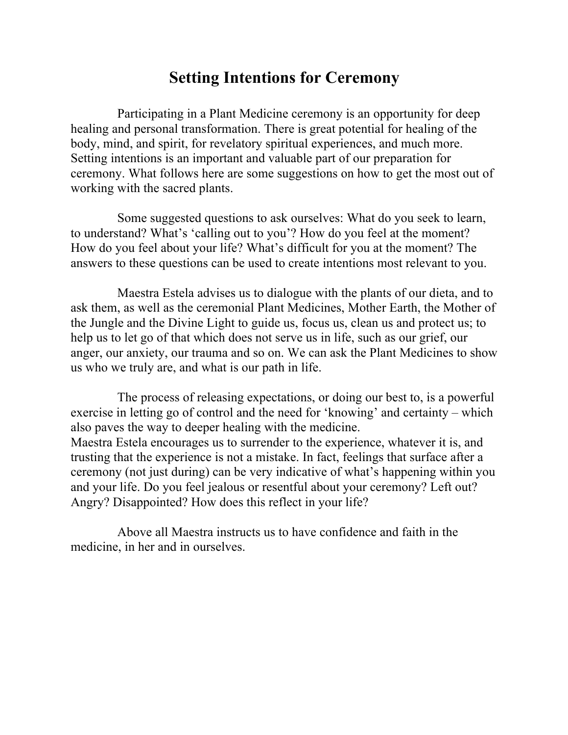## **Setting Intentions for Ceremony**

Participating in a Plant Medicine ceremony is an opportunity for deep healing and personal transformation. There is great potential for healing of the body, mind, and spirit, for revelatory spiritual experiences, and much more. Setting intentions is an important and valuable part of our preparation for ceremony. What follows here are some suggestions on how to get the most out of working with the sacred plants.

Some suggested questions to ask ourselves: What do you seek to learn, to understand? What's 'calling out to you'? How do you feel at the moment? How do you feel about your life? What's difficult for you at the moment? The answers to these questions can be used to create intentions most relevant to you.

Maestra Estela advises us to dialogue with the plants of our dieta, and to ask them, as well as the ceremonial Plant Medicines, Mother Earth, the Mother of the Jungle and the Divine Light to guide us, focus us, clean us and protect us; to help us to let go of that which does not serve us in life, such as our grief, our anger, our anxiety, our trauma and so on. We can ask the Plant Medicines to show us who we truly are, and what is our path in life.

The process of releasing expectations, or doing our best to, is a powerful exercise in letting go of control and the need for 'knowing' and certainty – which also paves the way to deeper healing with the medicine. Maestra Estela encourages us to surrender to the experience, whatever it is, and trusting that the experience is not a mistake. In fact, feelings that surface after a ceremony (not just during) can be very indicative of what's happening within you and your life. Do you feel jealous or resentful about your ceremony? Left out? Angry? Disappointed? How does this reflect in your life?

Above all Maestra instructs us to have confidence and faith in the medicine, in her and in ourselves.